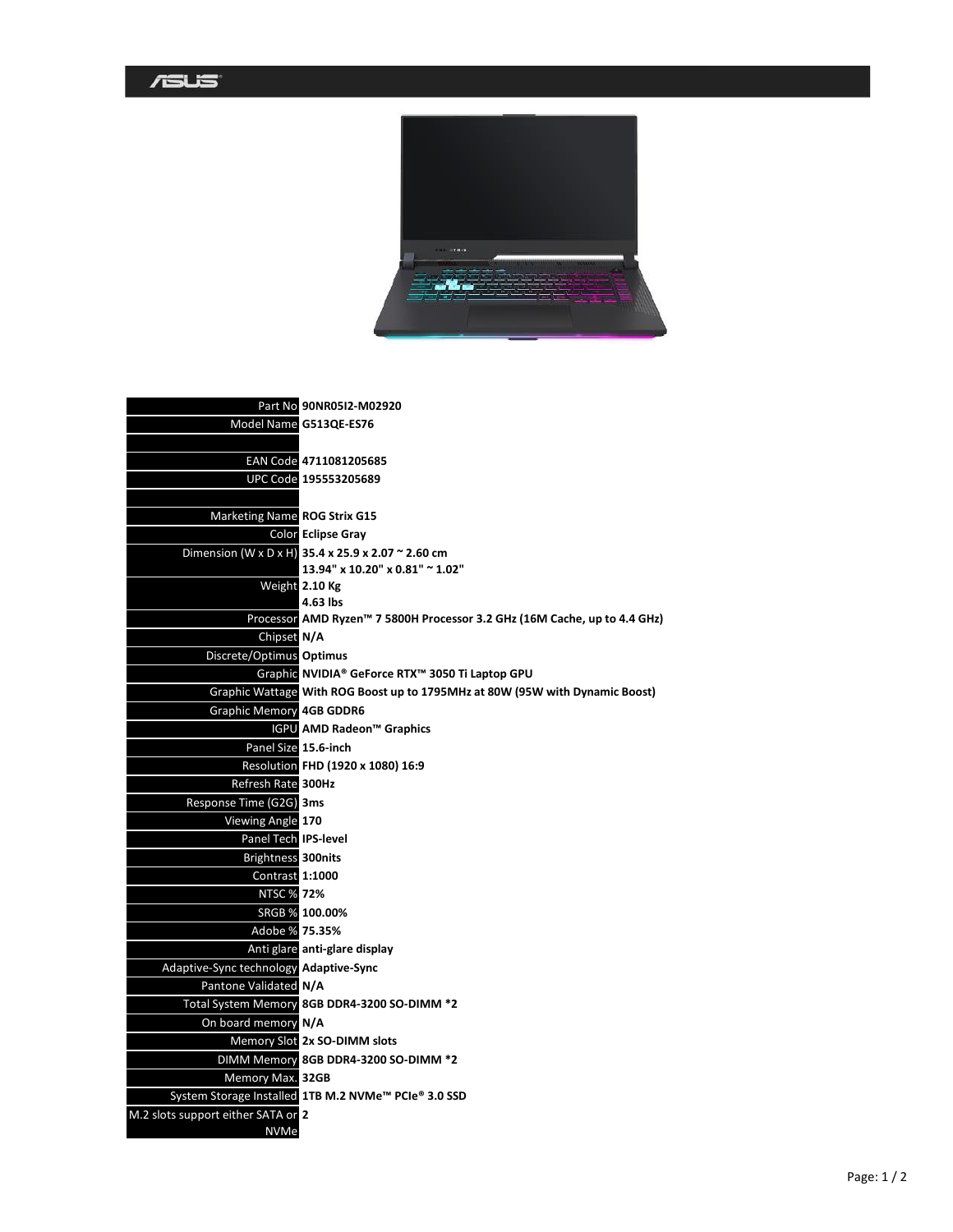|                                        | Part No 90NR05I2-M02920                                                      |
|----------------------------------------|------------------------------------------------------------------------------|
|                                        | Model Name G513QE-ES76                                                       |
|                                        |                                                                              |
|                                        | EAN Code 4711081205685                                                       |
|                                        | UPC Code 195553205689                                                        |
|                                        |                                                                              |
| <b>Marketing Name ROG Strix G15</b>    |                                                                              |
|                                        | <b>Color Eclipse Gray</b>                                                    |
|                                        | Dimension (W x D x H) 35.4 x 25.9 x 2.07 ~ 2.60 cm                           |
|                                        | 13.94" x 10.20" x 0.81" ~ 1.02"                                              |
|                                        | Weight 2.10 Kg                                                               |
|                                        | 4.63 lbs                                                                     |
|                                        | Processor AMD Ryzen™ 7 5800H Processor 3.2 GHz (16M Cache, up to 4.4 GHz)    |
| Chipset N/A                            |                                                                              |
| Discrete/Optimus Optimus               |                                                                              |
|                                        | Graphic NVIDIA® GeForce RTX™ 3050 Ti Laptop GPU                              |
|                                        | Graphic Wattage With ROG Boost up to 1795MHz at 80W (95W with Dynamic Boost) |
| <b>Graphic Memory 4GB GDDR6</b>        |                                                                              |
|                                        | <b>IGPU</b> AMD Radeon™ Graphics                                             |
|                                        | Panel Size 15.6-inch                                                         |
|                                        | Resolution FHD (1920 x 1080) 16:9                                            |
| Refresh Rate 300Hz                     |                                                                              |
| Response Time (G2G) 3ms                |                                                                              |
| Viewing Angle 170                      |                                                                              |
| Panel Tech IPS-level                   |                                                                              |
| Brightness 300nits                     |                                                                              |
| <b>Contrast 1:1000</b>                 |                                                                              |
| <b>NTSC % 72%</b>                      |                                                                              |
|                                        | SRGB % 100.00%                                                               |
| Adobe % 75.35%                         |                                                                              |
|                                        | Anti glare anti-glare display                                                |
| Adaptive-Sync technology Adaptive-Sync |                                                                              |
| Pantone Validated N/A                  |                                                                              |
|                                        | Total System Memory 8GB DDR4-3200 SO-DIMM *2                                 |
| On board memory N/A                    |                                                                              |
|                                        | Memory Slot 2x SO-DIMM slots                                                 |
|                                        | DIMM Memory 8GB DDR4-3200 SO-DIMM *2                                         |
| Memory Max. 32GB                       |                                                                              |
|                                        | System Storage Installed 1TB M.2 NVMe <sup>™</sup> PCIe® 3.0 SSD             |
| M.2 slots support either SATA or 2     |                                                                              |
| <b>NVMe</b>                            |                                                                              |